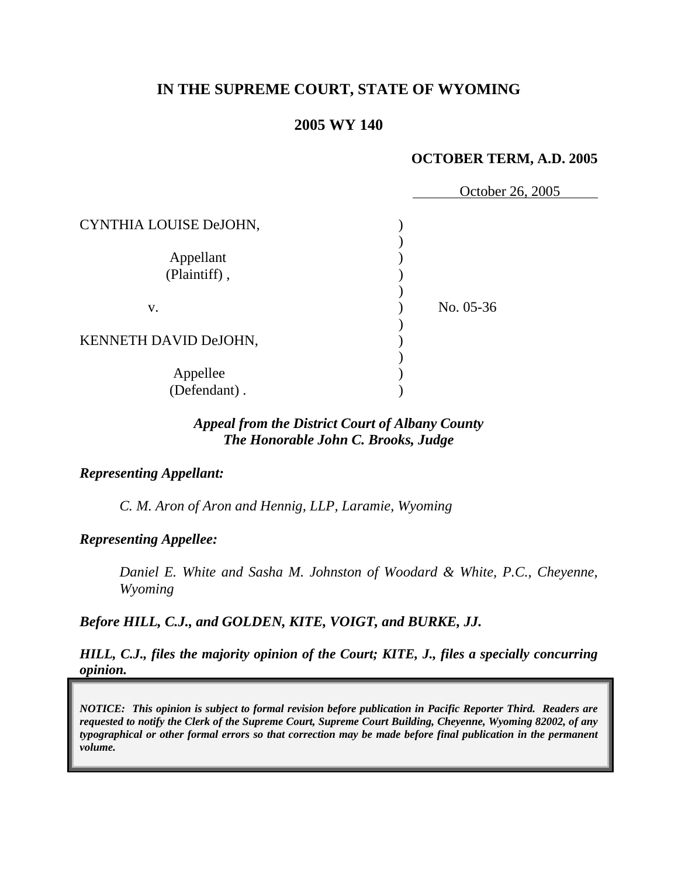# **IN THE SUPREME COURT, STATE OF WYOMING**

## **2005 WY 140**

### **OCTOBER TERM, A.D. 2005**

|                           | October 26, 2005 |
|---------------------------|------------------|
| CYNTHIA LOUISE DeJOHN,    |                  |
| Appellant<br>(Plaintiff), |                  |
| V.                        | No. 05-36        |
| KENNETH DAVID DeJOHN,     |                  |
| Appellee<br>(Defendant).  |                  |

## *Appeal from the District Court of Albany County The Honorable John C. Brooks, Judge*

#### *Representing Appellant:*

*C. M. Aron of Aron and Hennig, LLP, Laramie, Wyoming* 

#### *Representing Appellee:*

*Daniel E. White and Sasha M. Johnston of Woodard & White, P.C., Cheyenne, Wyoming* 

*Before HILL, C.J., and GOLDEN, KITE, VOIGT, and BURKE, JJ.* 

*HILL, C.J., files the majority opinion of the Court; KITE, J., files a specially concurring opinion.* 

*NOTICE: This opinion is subject to formal revision before publication in Pacific Reporter Third. Readers are requested to notify the Clerk of the Supreme Court, Supreme Court Building, Cheyenne, Wyoming 82002, of any typographical or other formal errors so that correction may be made before final publication in the permanent volume.*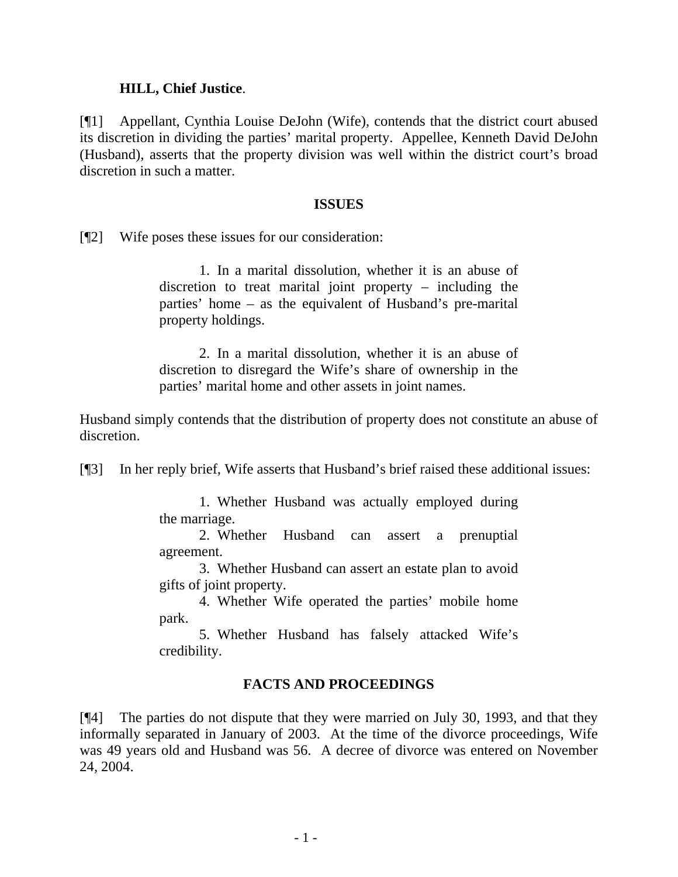### **HILL, Chief Justice**.

[¶1] Appellant, Cynthia Louise DeJohn (Wife), contends that the district court abused its discretion in dividing the parties' marital property. Appellee, Kenneth David DeJohn (Husband), asserts that the property division was well within the district court's broad discretion in such a matter.

#### **ISSUES**

[¶2] Wife poses these issues for our consideration:

 1. In a marital dissolution, whether it is an abuse of discretion to treat marital joint property – including the parties' home – as the equivalent of Husband's pre-marital property holdings.

 2. In a marital dissolution, whether it is an abuse of discretion to disregard the Wife's share of ownership in the parties' marital home and other assets in joint names.

Husband simply contends that the distribution of property does not constitute an abuse of discretion.

[¶3] In her reply brief, Wife asserts that Husband's brief raised these additional issues:

 1. Whether Husband was actually employed during the marriage.

 2. Whether Husband can assert a prenuptial agreement.

 3. Whether Husband can assert an estate plan to avoid gifts of joint property.

 4. Whether Wife operated the parties' mobile home park.

 5. Whether Husband has falsely attacked Wife's credibility.

## **FACTS AND PROCEEDINGS**

[¶4] The parties do not dispute that they were married on July 30, 1993, and that they informally separated in January of 2003. At the time of the divorce proceedings, Wife was 49 years old and Husband was 56. A decree of divorce was entered on November 24, 2004.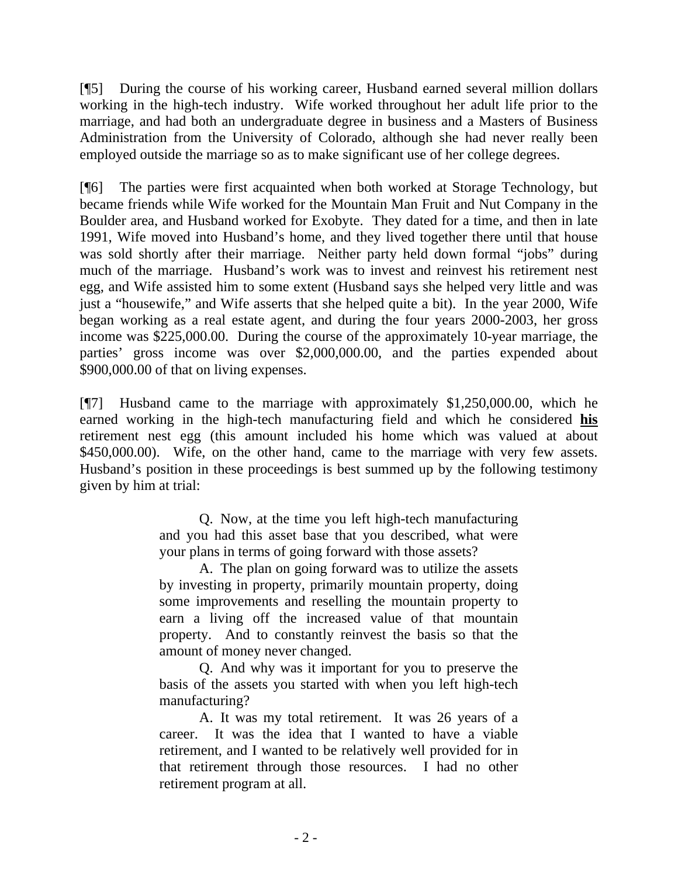[¶5] During the course of his working career, Husband earned several million dollars working in the high-tech industry. Wife worked throughout her adult life prior to the marriage, and had both an undergraduate degree in business and a Masters of Business Administration from the University of Colorado, although she had never really been employed outside the marriage so as to make significant use of her college degrees.

[¶6] The parties were first acquainted when both worked at Storage Technology, but became friends while Wife worked for the Mountain Man Fruit and Nut Company in the Boulder area, and Husband worked for Exobyte. They dated for a time, and then in late 1991, Wife moved into Husband's home, and they lived together there until that house was sold shortly after their marriage. Neither party held down formal "jobs" during much of the marriage. Husband's work was to invest and reinvest his retirement nest egg, and Wife assisted him to some extent (Husband says she helped very little and was just a "housewife," and Wife asserts that she helped quite a bit). In the year 2000, Wife began working as a real estate agent, and during the four years 2000-2003, her gross income was \$225,000.00. During the course of the approximately 10-year marriage, the parties' gross income was over \$2,000,000.00, and the parties expended about \$900,000.00 of that on living expenses.

[¶7] Husband came to the marriage with approximately \$1,250,000.00, which he earned working in the high-tech manufacturing field and which he considered **his** retirement nest egg (this amount included his home which was valued at about \$450,000.00). Wife, on the other hand, came to the marriage with very few assets. Husband's position in these proceedings is best summed up by the following testimony given by him at trial:

> Q. Now, at the time you left high-tech manufacturing and you had this asset base that you described, what were your plans in terms of going forward with those assets?

> A. The plan on going forward was to utilize the assets by investing in property, primarily mountain property, doing some improvements and reselling the mountain property to earn a living off the increased value of that mountain property. And to constantly reinvest the basis so that the amount of money never changed.

> Q. And why was it important for you to preserve the basis of the assets you started with when you left high-tech manufacturing?

> A. It was my total retirement. It was 26 years of a career. It was the idea that I wanted to have a viable retirement, and I wanted to be relatively well provided for in that retirement through those resources. I had no other retirement program at all.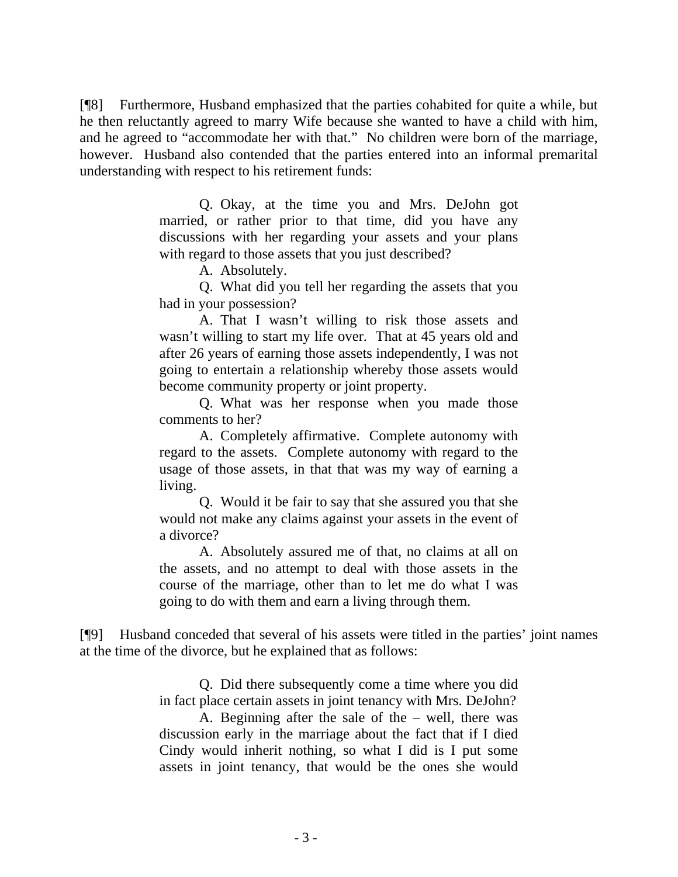[¶8] Furthermore, Husband emphasized that the parties cohabited for quite a while, but he then reluctantly agreed to marry Wife because she wanted to have a child with him, and he agreed to "accommodate her with that." No children were born of the marriage, however. Husband also contended that the parties entered into an informal premarital understanding with respect to his retirement funds:

> Q. Okay, at the time you and Mrs. DeJohn got married, or rather prior to that time, did you have any discussions with her regarding your assets and your plans with regard to those assets that you just described?

> > A. Absolutely.

Q. What did you tell her regarding the assets that you had in your possession?

A. That I wasn't willing to risk those assets and wasn't willing to start my life over. That at 45 years old and after 26 years of earning those assets independently, I was not going to entertain a relationship whereby those assets would become community property or joint property.

Q. What was her response when you made those comments to her?

A. Completely affirmative. Complete autonomy with regard to the assets. Complete autonomy with regard to the usage of those assets, in that that was my way of earning a living.

Q. Would it be fair to say that she assured you that she would not make any claims against your assets in the event of a divorce?

A. Absolutely assured me of that, no claims at all on the assets, and no attempt to deal with those assets in the course of the marriage, other than to let me do what I was going to do with them and earn a living through them.

[¶9] Husband conceded that several of his assets were titled in the parties' joint names at the time of the divorce, but he explained that as follows:

> Q. Did there subsequently come a time where you did in fact place certain assets in joint tenancy with Mrs. DeJohn?

> A. Beginning after the sale of the – well, there was discussion early in the marriage about the fact that if I died Cindy would inherit nothing, so what I did is I put some assets in joint tenancy, that would be the ones she would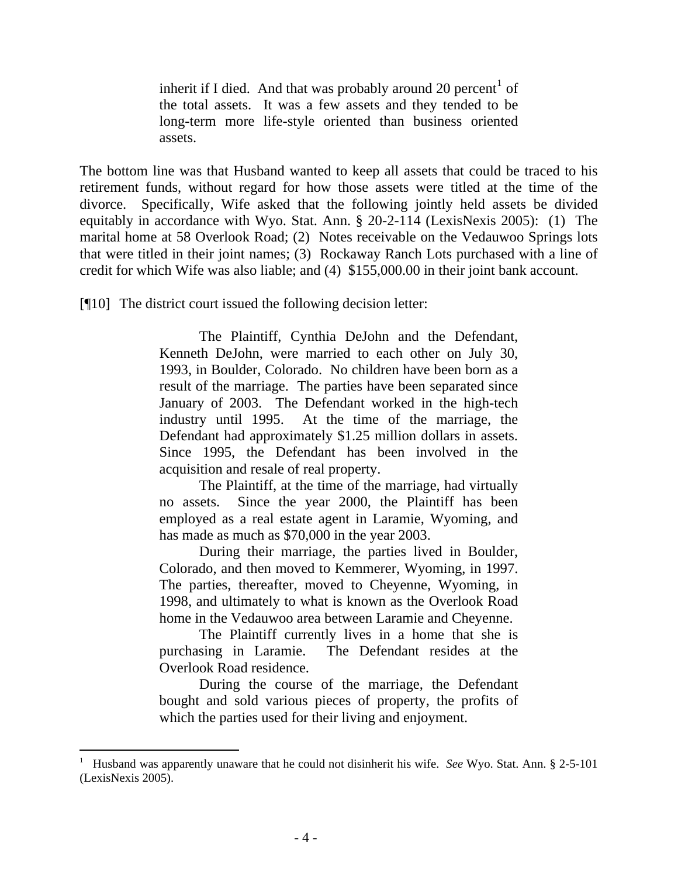inherit if I died. And that was probably around 20 percent<sup>[1](#page-5-0)</sup> of the total assets. It was a few assets and they tended to be long-term more life-style oriented than business oriented assets.

The bottom line was that Husband wanted to keep all assets that could be traced to his retirement funds, without regard for how those assets were titled at the time of the divorce. Specifically, Wife asked that the following jointly held assets be divided equitably in accordance with Wyo. Stat. Ann. § 20-2-114 (LexisNexis 2005): (1) The marital home at 58 Overlook Road; (2) Notes receivable on the Vedauwoo Springs lots that were titled in their joint names; (3) Rockaway Ranch Lots purchased with a line of credit for which Wife was also liable; and (4) \$155,000.00 in their joint bank account.

[¶10] The district court issued the following decision letter:

The Plaintiff, Cynthia DeJohn and the Defendant, Kenneth DeJohn, were married to each other on July 30, 1993, in Boulder, Colorado. No children have been born as a result of the marriage. The parties have been separated since January of 2003. The Defendant worked in the high-tech industry until 1995. At the time of the marriage, the Defendant had approximately \$1.25 million dollars in assets. Since 1995, the Defendant has been involved in the acquisition and resale of real property.

The Plaintiff, at the time of the marriage, had virtually no assets. Since the year 2000, the Plaintiff has been employed as a real estate agent in Laramie, Wyoming, and has made as much as \$70,000 in the year 2003.

During their marriage, the parties lived in Boulder, Colorado, and then moved to Kemmerer, Wyoming, in 1997. The parties, thereafter, moved to Cheyenne, Wyoming, in 1998, and ultimately to what is known as the Overlook Road home in the Vedauwoo area between Laramie and Cheyenne.

The Plaintiff currently lives in a home that she is purchasing in Laramie. The Defendant resides at the Overlook Road residence.

During the course of the marriage, the Defendant bought and sold various pieces of property, the profits of which the parties used for their living and enjoyment.

<span id="page-5-0"></span><sup>&</sup>lt;sup>1</sup> Husband was apparently unaware that he could not disinherit his wife. *See* Wyo. Stat. Ann. § 2-5-101 (LexisNexis 2005).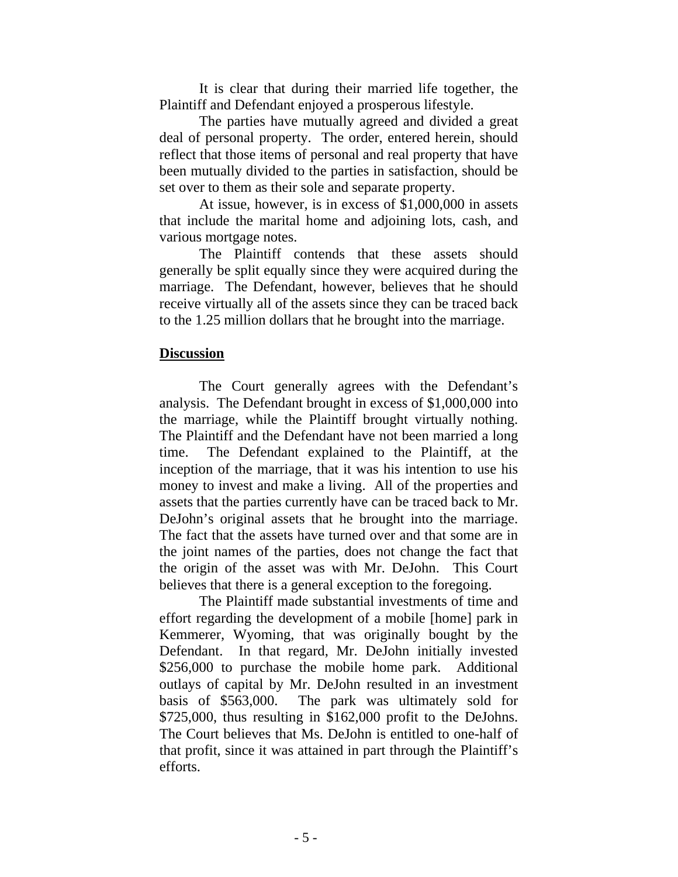It is clear that during their married life together, the Plaintiff and Defendant enjoyed a prosperous lifestyle.

The parties have mutually agreed and divided a great deal of personal property. The order, entered herein, should reflect that those items of personal and real property that have been mutually divided to the parties in satisfaction, should be set over to them as their sole and separate property.

At issue, however, is in excess of \$1,000,000 in assets that include the marital home and adjoining lots, cash, and various mortgage notes.

The Plaintiff contends that these assets should generally be split equally since they were acquired during the marriage. The Defendant, however, believes that he should receive virtually all of the assets since they can be traced back to the 1.25 million dollars that he brought into the marriage.

## **Discussion**

 The Court generally agrees with the Defendant's analysis. The Defendant brought in excess of \$1,000,000 into the marriage, while the Plaintiff brought virtually nothing. The Plaintiff and the Defendant have not been married a long time. The Defendant explained to the Plaintiff, at the inception of the marriage, that it was his intention to use his money to invest and make a living. All of the properties and assets that the parties currently have can be traced back to Mr. DeJohn's original assets that he brought into the marriage. The fact that the assets have turned over and that some are in the joint names of the parties, does not change the fact that the origin of the asset was with Mr. DeJohn. This Court believes that there is a general exception to the foregoing.

 The Plaintiff made substantial investments of time and effort regarding the development of a mobile [home] park in Kemmerer, Wyoming, that was originally bought by the Defendant. In that regard, Mr. DeJohn initially invested \$256,000 to purchase the mobile home park. Additional outlays of capital by Mr. DeJohn resulted in an investment basis of \$563,000. The park was ultimately sold for \$725,000, thus resulting in \$162,000 profit to the DeJohns. The Court believes that Ms. DeJohn is entitled to one-half of that profit, since it was attained in part through the Plaintiff's efforts.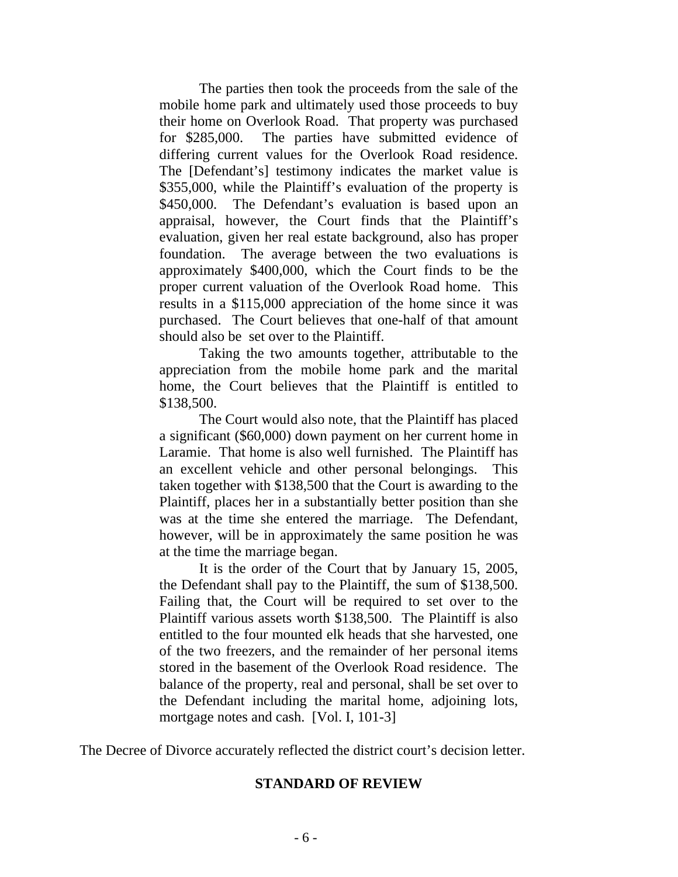The parties then took the proceeds from the sale of the mobile home park and ultimately used those proceeds to buy their home on Overlook Road. That property was purchased for \$285,000. The parties have submitted evidence of differing current values for the Overlook Road residence. The [Defendant's] testimony indicates the market value is \$355,000, while the Plaintiff's evaluation of the property is \$450,000. The Defendant's evaluation is based upon an appraisal, however, the Court finds that the Plaintiff's evaluation, given her real estate background, also has proper foundation. The average between the two evaluations is approximately \$400,000, which the Court finds to be the proper current valuation of the Overlook Road home. This results in a \$115,000 appreciation of the home since it was purchased. The Court believes that one-half of that amount should also be set over to the Plaintiff.

 Taking the two amounts together, attributable to the appreciation from the mobile home park and the marital home, the Court believes that the Plaintiff is entitled to \$138,500.

 The Court would also note, that the Plaintiff has placed a significant (\$60,000) down payment on her current home in Laramie. That home is also well furnished. The Plaintiff has an excellent vehicle and other personal belongings. This taken together with \$138,500 that the Court is awarding to the Plaintiff, places her in a substantially better position than she was at the time she entered the marriage. The Defendant, however, will be in approximately the same position he was at the time the marriage began.

 It is the order of the Court that by January 15, 2005, the Defendant shall pay to the Plaintiff, the sum of \$138,500. Failing that, the Court will be required to set over to the Plaintiff various assets worth \$138,500. The Plaintiff is also entitled to the four mounted elk heads that she harvested, one of the two freezers, and the remainder of her personal items stored in the basement of the Overlook Road residence. The balance of the property, real and personal, shall be set over to the Defendant including the marital home, adjoining lots, mortgage notes and cash. [Vol. I, 101-3]

The Decree of Divorce accurately reflected the district court's decision letter.

## **STANDARD OF REVIEW**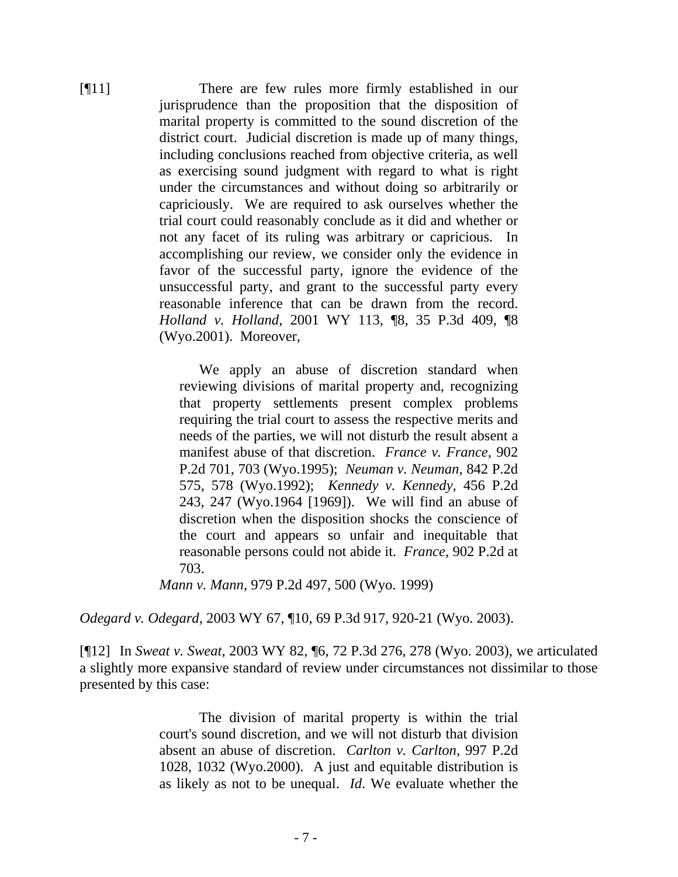[¶11] There are few rules more firmly established in our jurisprudence than the proposition that the disposition of marital property is committed to the sound discretion of the district court. Judicial discretion is made up of many things, including conclusions reached from objective criteria, as well as exercising sound judgment with regard to what is right under the circumstances and without doing so arbitrarily or capriciously. We are required to ask ourselves whether the trial court could reasonably conclude as it did and whether or not any facet of its ruling was arbitrary or capricious. In accomplishing our review, we consider only the evidence in favor of the successful party, ignore the evidence of the unsuccessful party, and grant to the successful party every reasonable inference that can be drawn from the record. *Holland v. Holland*, 2001 WY 113, ¶8, 35 P.3d 409, ¶8 (Wyo.2001). Moreover,

> We apply an abuse of discretion standard when reviewing divisions of marital property and, recognizing that property settlements present complex problems requiring the trial court to assess the respective merits and needs of the parties, we will not disturb the result absent a manifest abuse of that discretion. *France v. France*, 902 P.2d 701, 703 (Wyo.1995); *Neuman v. Neuman*, 842 P.2d 575, 578 (Wyo.1992); *Kennedy v. Kennedy*, 456 P.2d 243, 247 (Wyo.1964 [1969]). We will find an abuse of discretion when the disposition shocks the conscience of the court and appears so unfair and inequitable that reasonable persons could not abide it. *France*, 902 P.2d at 703.

*Mann v. Mann*, 979 P.2d 497, 500 (Wyo. 1999)

*Odegard v. Odegard*, 2003 WY 67, ¶10, 69 P.3d 917, 920-21 (Wyo. 2003).

[¶12] In *Sweat v. Sweat*, 2003 WY 82, ¶6, 72 P.3d 276, 278 (Wyo. 2003), we articulated a slightly more expansive standard of review under circumstances not dissimilar to those presented by this case:

> The division of marital property is within the trial court's sound discretion, and we will not disturb that division absent an abuse of discretion. *Carlton v. Carlton*, 997 P.2d 1028, 1032 (Wyo.2000). A just and equitable distribution is as likely as not to be unequal. *Id*. We evaluate whether the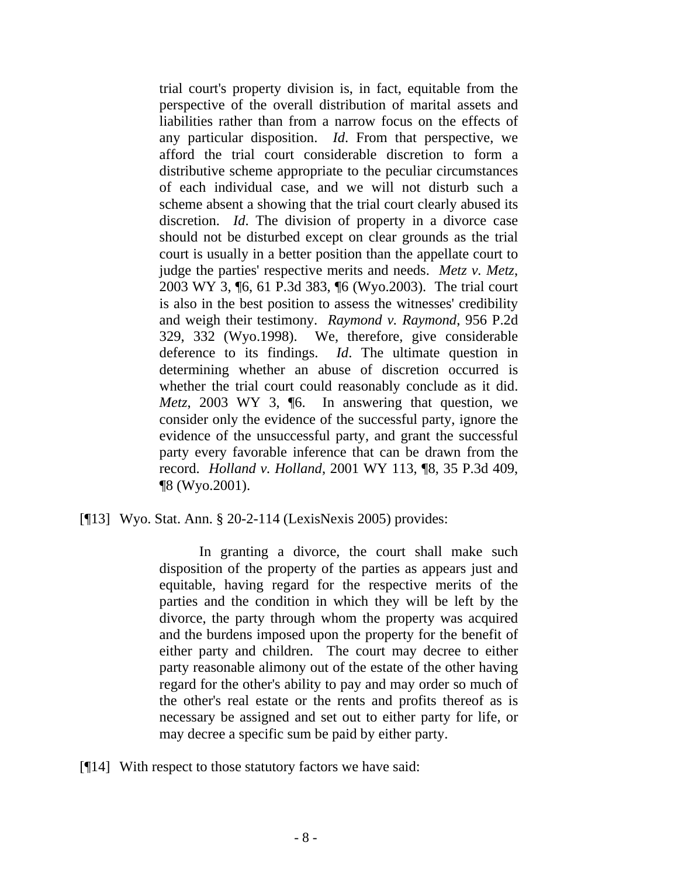trial court's property division is, in fact, equitable from the perspective of the overall distribution of marital assets and liabilities rather than from a narrow focus on the effects of any particular disposition. *Id*. From that perspective, we afford the trial court considerable discretion to form a distributive scheme appropriate to the peculiar circumstances of each individual case, and we will not disturb such a scheme absent a showing that the trial court clearly abused its discretion. *Id*. The division of property in a divorce case should not be disturbed except on clear grounds as the trial court is usually in a better position than the appellate court to judge the parties' respective merits and needs. *Metz, v. Metz*, 2003 WY 3, ¶6, 61 P.3d 383, ¶6 (Wyo.2003). The trial court is also in the best position to assess the witnesses' credibility and weigh their testimony. *Raymond v. Raymond*, 956 P.2d 329, 332 (Wyo.1998). We, therefore, give considerable deference to its findings. *Id*. The ultimate question in determining whether an abuse of discretion occurred is whether the trial court could reasonably conclude as it did. *Metz*, 2003 WY 3, ¶6. In answering that question, we consider only the evidence of the successful party, ignore the evidence of the unsuccessful party, and grant the successful party every favorable inference that can be drawn from the record. *Holland v. Holland*, 2001 WY 113, ¶8, 35 P.3d 409, ¶8 (Wyo.2001).

[¶13] Wyo. Stat. Ann. § 20-2-114 (LexisNexis 2005) provides:

In granting a divorce, the court shall make such disposition of the property of the parties as appears just and equitable, having regard for the respective merits of the parties and the condition in which they will be left by the divorce, the party through whom the property was acquired and the burdens imposed upon the property for the benefit of either party and children. The court may decree to either party reasonable alimony out of the estate of the other having regard for the other's ability to pay and may order so much of the other's real estate or the rents and profits thereof as is necessary be assigned and set out to either party for life, or may decree a specific sum be paid by either party.

[¶14] With respect to those statutory factors we have said: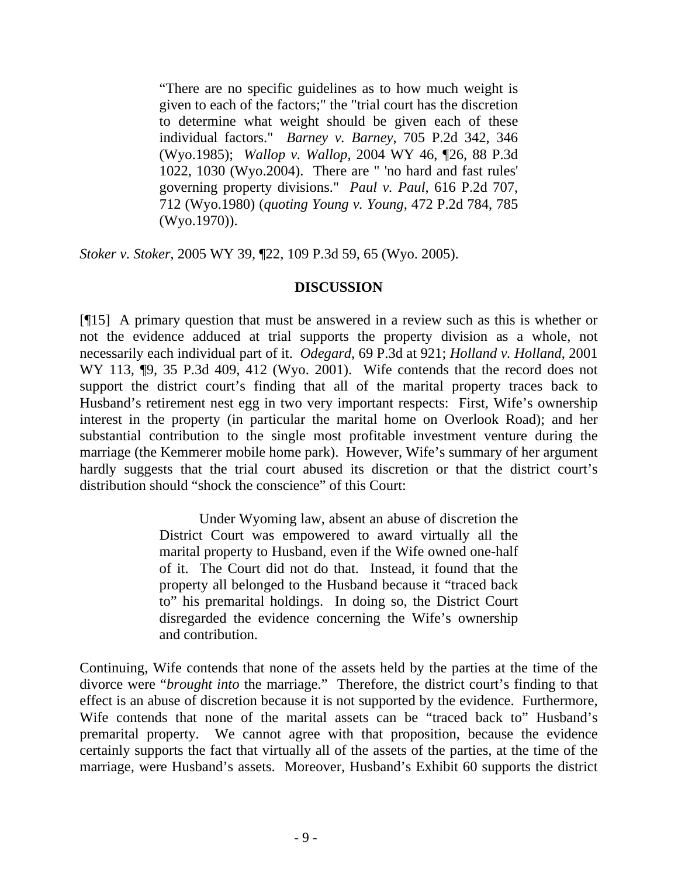"There are no specific guidelines as to how much weight is given to each of the factors;" the "trial court has the discretion to determine what weight should be given each of these individual factors." *Barney v. Barney*, 705 P.2d 342, 346 (Wyo.1985); *Wallop v. Wallop*, 2004 WY 46, ¶26, 88 P.3d 1022, 1030 (Wyo.2004). There are " 'no hard and fast rules' governing property divisions." *Paul v. Paul*, 616 P.2d 707, 712 (Wyo.1980) (*quoting Young v. Young*, 472 P.2d 784, 785 (Wyo.1970)).

*Stoker v. Stoker*, 2005 WY 39, ¶22, 109 P.3d 59, 65 (Wyo. 2005).

## **DISCUSSION**

[¶15] A primary question that must be answered in a review such as this is whether or not the evidence adduced at trial supports the property division as a whole, not necessarily each individual part of it. *Odegard*, 69 P.3d at 921; *Holland v. Holland*, 2001 WY 113,  $\P$ 9, 35 P.3d 409, 412 (Wyo. 2001). Wife contends that the record does not support the district court's finding that all of the marital property traces back to Husband's retirement nest egg in two very important respects: First, Wife's ownership interest in the property (in particular the marital home on Overlook Road); and her substantial contribution to the single most profitable investment venture during the marriage (the Kemmerer mobile home park). However, Wife's summary of her argument hardly suggests that the trial court abused its discretion or that the district court's distribution should "shock the conscience" of this Court:

> Under Wyoming law, absent an abuse of discretion the District Court was empowered to award virtually all the marital property to Husband, even if the Wife owned one-half of it. The Court did not do that. Instead, it found that the property all belonged to the Husband because it "traced back to" his premarital holdings. In doing so, the District Court disregarded the evidence concerning the Wife's ownership and contribution.

Continuing, Wife contends that none of the assets held by the parties at the time of the divorce were "*brought into* the marriage." Therefore, the district court's finding to that effect is an abuse of discretion because it is not supported by the evidence. Furthermore, Wife contends that none of the marital assets can be "traced back to" Husband's premarital property. We cannot agree with that proposition, because the evidence certainly supports the fact that virtually all of the assets of the parties, at the time of the marriage, were Husband's assets. Moreover, Husband's Exhibit 60 supports the district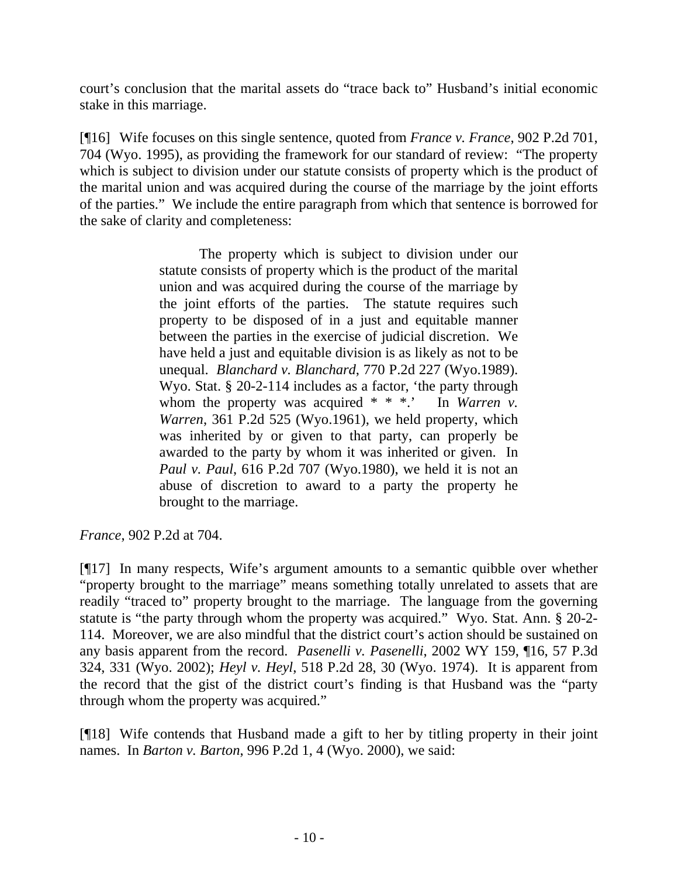court's conclusion that the marital assets do "trace back to" Husband's initial economic stake in this marriage.

[¶16] Wife focuses on this single sentence, quoted from *France v. France*, 902 P.2d 701, 704 (Wyo. 1995), as providing the framework for our standard of review: "The property which is subject to division under our statute consists of property which is the product of the marital union and was acquired during the course of the marriage by the joint efforts of the parties." We include the entire paragraph from which that sentence is borrowed for the sake of clarity and completeness:

> The property which is subject to division under our statute consists of property which is the product of the marital union and was acquired during the course of the marriage by the joint efforts of the parties. The statute requires such property to be disposed of in a just and equitable manner between the parties in the exercise of judicial discretion. We have held a just and equitable division is as likely as not to be unequal. *Blanchard v. Blanchard*, 770 P.2d 227 (Wyo.1989). Wyo. Stat. § 20-2-114 includes as a factor, 'the party through whom the property was acquired \* \* \*.' In *Warren v. Warren*, 361 P.2d 525 (Wyo.1961), we held property, which was inherited by or given to that party, can properly be awarded to the party by whom it was inherited or given. In *Paul v. Paul*, 616 P.2d 707 (Wyo.1980), we held it is not an abuse of discretion to award to a party the property he brought to the marriage.

*France*, 902 P.2d at 704.

[¶17] In many respects, Wife's argument amounts to a semantic quibble over whether "property brought to the marriage" means something totally unrelated to assets that are readily "traced to" property brought to the marriage. The language from the governing statute is "the party through whom the property was acquired." Wyo. Stat. Ann. § 20-2- 114. Moreover, we are also mindful that the district court's action should be sustained on any basis apparent from the record. *Pasenelli v. Pasenelli*, 2002 WY 159, ¶16, 57 P.3d 324, 331 (Wyo. 2002); *Heyl v. Heyl*, 518 P.2d 28, 30 (Wyo. 1974). It is apparent from the record that the gist of the district court's finding is that Husband was the "party through whom the property was acquired."

[¶18] Wife contends that Husband made a gift to her by titling property in their joint names. In *Barton v. Barton*, 996 P.2d 1, 4 (Wyo. 2000), we said: